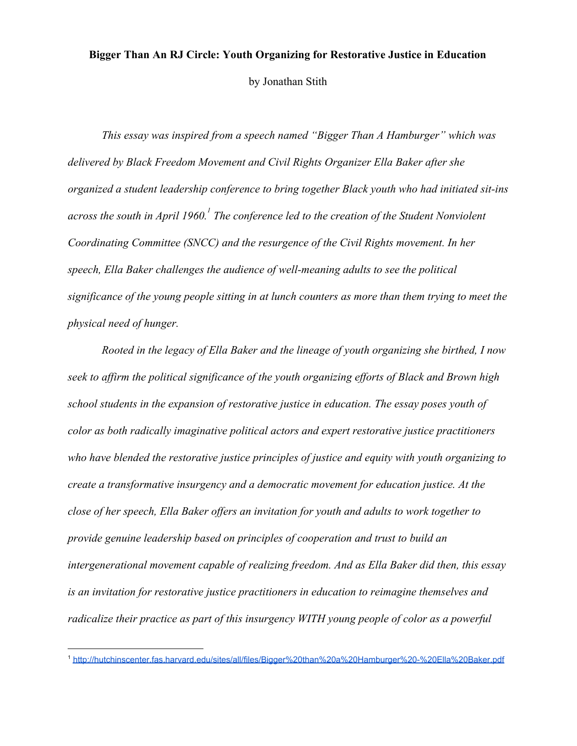### **Bigger Than An RJ Circle: Youth Organizing for Restorative Justice in Education**

by Jonathan Stith

*This essay was inspired from a speech named "Bigger Than A Hamburger" which was delivered by Black Freedom Movement and Civil Rights Organizer Ella Baker after she organized a student leadership conference to bring together Black youth who had initiated sit-ins across the south in April 1960. The conference led to the creation of the Student Nonviolent <sup>1</sup> Coordinating Committee (SNCC) and the resurgence of the Civil Rights movement. In her speech, Ella Baker challenges the audience of well-meaning adults to see the political significance of the young people sitting in at lunch counters as more than them trying to meet the physical need of hunger.*

*Rooted in the legacy of Ella Baker and the lineage of youth organizing she birthed, I now seek to affirm the political significance of the youth organizing efforts of Black and Brown high school students in the expansion of restorative justice in education. The essay poses youth of color as both radically imaginative political actors and expert restorative justice practitioners who have blended the restorative justice principles of justice and equity with youth organizing to create a transformative insurgency and a democratic movement for education justice. At the close of her speech, Ella Baker offers an invitation for youth and adults to work together to provide genuine leadership based on principles of cooperation and trust to build an intergenerational movement capable of realizing freedom. And as Ella Baker did then, this essay is an invitation for restorative justice practitioners in education to reimagine themselves and radicalize their practice as part of this insurgency WITH young people of color as a powerful*

<sup>1</sup> <http://hutchinscenter.fas.harvard.edu/sites/all/files/Bigger%20than%20a%20Hamburger%20-%20Ella%20Baker.pdf>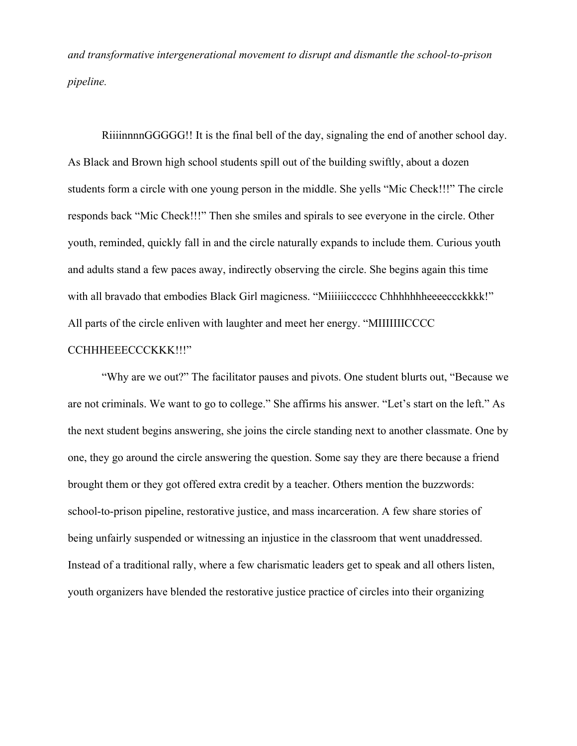*and transformative intergenerational movement to disrupt and dismantle the school-to-prison pipeline.*

RiiiinnnnGGGGG!! It is the final bell of the day, signaling the end of another school day. As Black and Brown high school students spill out of the building swiftly, about a dozen students form a circle with one young person in the middle. She yells "Mic Check!!!" The circle responds back "Mic Check!!!" Then she smiles and spirals to see everyone in the circle. Other youth, reminded, quickly fall in and the circle naturally expands to include them. Curious youth and adults stand a few paces away, indirectly observing the circle. She begins again this time with all bravado that embodies Black Girl magicness. "Miiiiiicccccc Chhhhhhheeeecckkkk!" All parts of the circle enliven with laughter and meet her energy. "MIIIIIIICCCC

# CCHHHEEECCCKKK!!!"

"Why are we out?" The facilitator pauses and pivots. One student blurts out, "Because we are not criminals. We want to go to college." She affirms his answer. "Let's start on the left." As the next student begins answering, she joins the circle standing next to another classmate. One by one, they go around the circle answering the question. Some say they are there because a friend brought them or they got offered extra credit by a teacher. Others mention the buzzwords: school-to-prison pipeline, restorative justice, and mass incarceration. A few share stories of being unfairly suspended or witnessing an injustice in the classroom that went unaddressed. Instead of a traditional rally, where a few charismatic leaders get to speak and all others listen, youth organizers have blended the restorative justice practice of circles into their organizing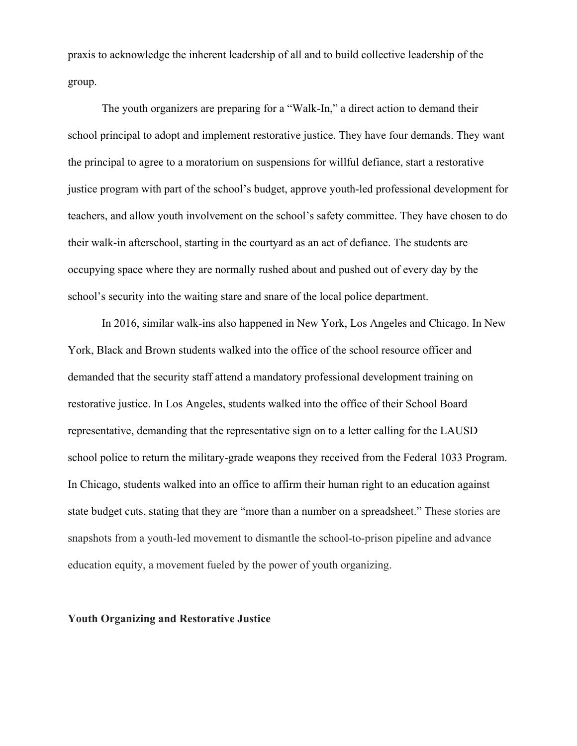praxis to acknowledge the inherent leadership of all and to build collective leadership of the group.

The youth organizers are preparing for a "Walk-In," a direct action to demand their school principal to adopt and implement restorative justice. They have four demands. They want the principal to agree to a moratorium on suspensions for willful defiance, start a restorative justice program with part of the school's budget, approve youth-led professional development for teachers, and allow youth involvement on the school's safety committee. They have chosen to do their walk-in afterschool, starting in the courtyard as an act of defiance. The students are occupying space where they are normally rushed about and pushed out of every day by the school's security into the waiting stare and snare of the local police department.

In 2016, similar walk-ins also happened in New York, Los Angeles and Chicago. In New York, Black and Brown students walked into the office of the school resource officer and demanded that the security staff attend a mandatory professional development training on restorative justice. In Los Angeles, students walked into the office of their School Board representative, demanding that the representative sign on to a letter calling for the LAUSD school police to return the military-grade weapons they received from the Federal 1033 Program. In Chicago, students walked into an office to affirm their human right to an education against state budget cuts, stating that they are "more than a number on a spreadsheet." These stories are snapshots from a youth-led movement to dismantle the school-to-prison pipeline and advance education equity, a movement fueled by the power of youth organizing.

#### **Youth Organizing and Restorative Justice**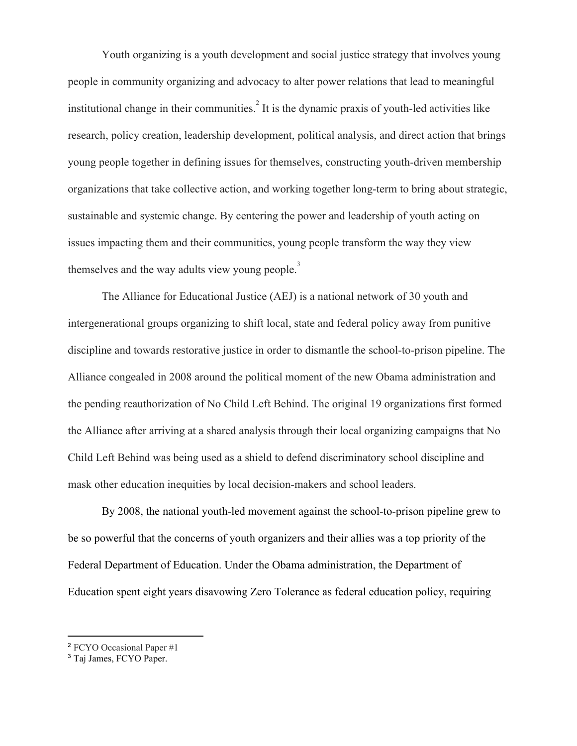Youth organizing is a youth development and social justice strategy that involves young people in community organizing and advocacy to alter power relations that lead to meaningful institutional change in their communities.<sup>2</sup> It is the dynamic praxis of youth-led activities like research, policy creation, leadership development, political analysis, and direct action that brings young people together in defining issues for themselves, constructing youth-driven membership organizations that take collective action, and working together long-term to bring about strategic, sustainable and systemic change. By centering the power and leadership of youth acting on issues impacting them and their communities, young people transform the way they view themselves and the way adults view young people. $\frac{3}{2}$ 

The Alliance for Educational Justice (AEJ) is a national network of 30 youth and intergenerational groups organizing to shift local, state and federal policy away from punitive discipline and towards restorative justice in order to dismantle the school-to-prison pipeline. The Alliance congealed in 2008 around the political moment of the new Obama administration and the pending reauthorization of No Child Left Behind. The original 19 organizations first formed the Alliance after arriving at a shared analysis through their local organizing campaigns that No Child Left Behind was being used as a shield to defend discriminatory school discipline and mask other education inequities by local decision-makers and school leaders.

By 2008, the national youth-led movement against the school-to-prison pipeline grew to be so powerful that the concerns of youth organizers and their allies was a top priority of the Federal Department of Education. Under the Obama administration, the Department of Education spent eight years disavowing Zero Tolerance as federal education policy, requiring

<sup>2</sup> FCYO Occasional Paper #1

<sup>3</sup> Taj James, FCYO Paper.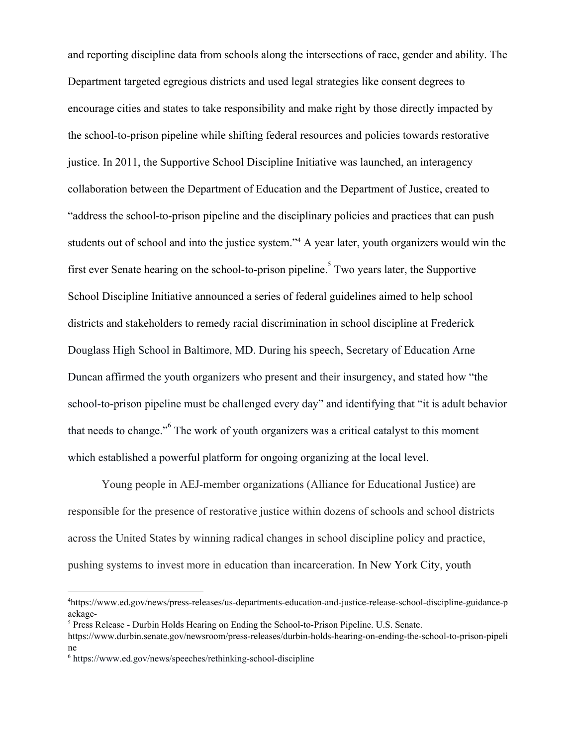and reporting discipline data from schools along the intersections of race, gender and ability. The Department targeted egregious districts and used legal strategies like consent degrees to encourage cities and states to take responsibility and make right by those directly impacted by the school-to-prison pipeline while shifting federal resources and policies towards restorative justice. In 2011, the Supportive School Discipline Initiative was launched, an interagency collaboration between the Department of Education and the Department of Justice, created to ["address the school-to-prison pipeline and the disciplinary policies and practices that can push](https://www.ed.gov/news/press-releases/us-departments-education-and-justice-release-school-discipline-guidance-package-) [students out of school and into the justice system."](https://www.ed.gov/news/press-releases/us-departments-education-and-justice-release-school-discipline-guidance-package-)<sup>4</sup> A year later, youth organizers would win the first ever Senate hearing on the school-to-prison pipeline. Two years later, the Supportive School Discipline Initiative announced a series of federal guidelines aimed to help school districts and stakeholders to remedy racial discrimination in school discipline at Frederick Douglass High School in Baltimore, MD. During his speech, Secretary of Education Arne Duncan affirmed the youth organizers who present and their insurgency, and stated how "the school-to-prison pipeline must be challenged every day" and identifying that "it is adult behavior that needs to change."<sup>6</sup> The work of youth organizers was a critical catalyst to this moment which established a powerful platform for ongoing organizing at the local level.

Young people in AEJ-member organizations (Alliance for Educational Justice) are responsible for the presence of restorative justice within dozens of schools and school districts across the United States by winning radical changes in school discipline policy and practice, pushing systems to invest more in education than incarceration. In New York City, youth

<sup>4</sup>https://www.ed.gov/news/press-releases/us-departments-education-and-justice-release-school-discipline-guidance-p ackage-

<sup>5</sup> Press Release - Durbin Holds Hearing on Ending the School-to-Prison Pipeline. U.S. Senate.

https://www.durbin.senate.gov/newsroom/press-releases/durbin-holds-hearing-on-ending-the-school-to-prison-pipeli ne

<sup>6</sup> https://www.ed.gov/news/speeches/rethinking-school-discipline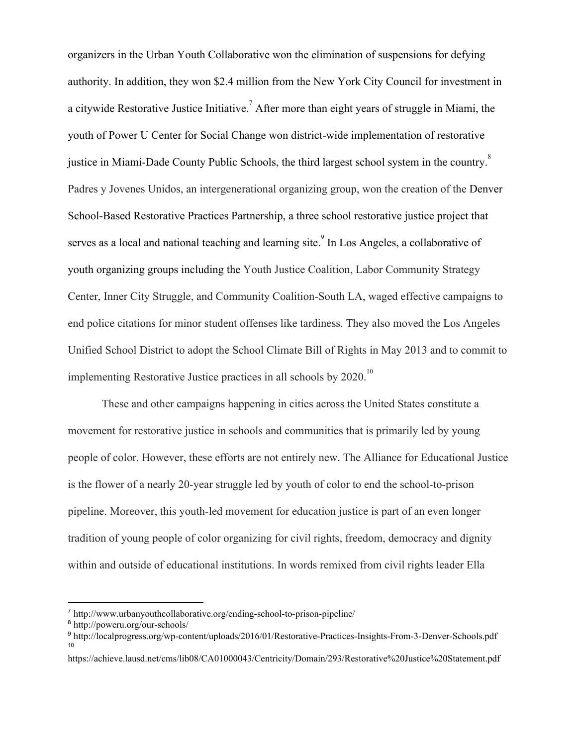organizers in the Urban Youth Collaborative won the elimination of suspensions for defying authority. In addition, they won \$2.4 million from the New York City Council for investment in a citywide Restorative Justice Initiative.<sup>7</sup> After more than eight years of struggle in Miami, the youth of Power U Center for Social Change won district-wide implementation of restorative justice in Miami-Dade County Public Schools, the third largest school system in the country.<sup>8</sup> Padres y Jovenes Unidos, an intergenerational organizing group, won the creation of the Denver School-Based Restorative Practices Partnership, a three school restorative justice project that serves as a local and national teaching and learning site.<sup>9</sup> In Los Angeles, a collaborative of youth organizing groups including the Youth Justice Coalition, Labor Community Strategy Center, Inner City Struggle, and Community Coalition-South LA, waged effective campaigns to end police citations for minor student offenses like tardiness. They also moved the Los Angeles Unified School District to adopt the School Climate Bill of Rights in May 2013 and to commit to implementing Restorative Justice practices in all schools by  $2020$ .<sup>10</sup>

These and other campaigns happening in cities across the United States constitute a movement for restorative justice in schools and communities that is primarily led by young people of color. However, these efforts are not entirely new. The Alliance for Educational Justice is the flower of a nearly 20-year struggle led by youth of color to end the school-to-prison pipeline. Moreover, this youth-led movement for education justice is part of an even longer tradition of young people of color organizing for civil rights, freedom, democracy and dignity within and outside of educational institutions. In words remixed from civil rights leader Ella

<sup>7</sup> http://www.urbanyouthcollaborative.org/ending-school-to-prison-pipeline/

<sup>8</sup> http://poweru.org/our-schools/

<sup>9</sup> http://localprogress.org/wp-content/uploads/2016/01/Restorative-Practices-Insights-From-3-Denver-Schools.pdf 10

https://achieve.lausd.net/cms/lib08/CA01000043/Centricity/Domain/293/Restorative%20Justice%20Statement.pdf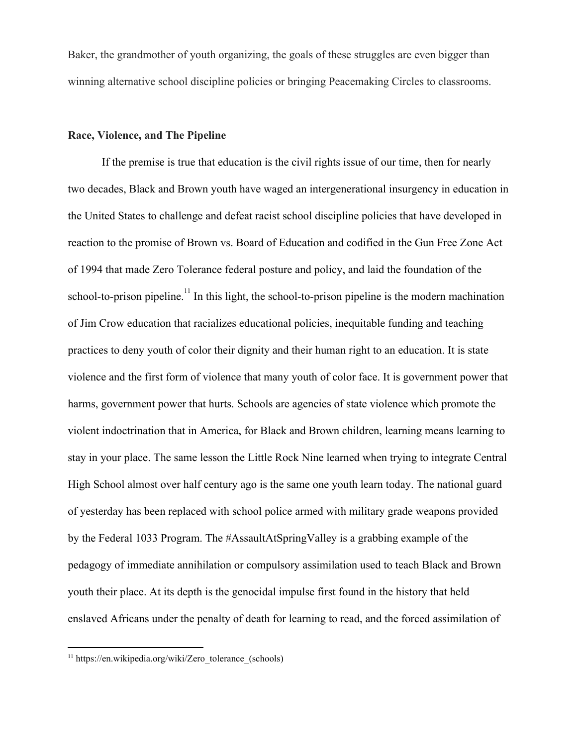Baker, the grandmother of youth organizing, the goals of these struggles are even bigger than winning alternative school discipline policies or bringing Peacemaking Circles to classrooms.

# **Race, Violence, and The Pipeline**

If the premise is true that education is the civil rights issue of our time, then for nearly two decades, Black and Brown youth have waged an intergenerational insurgency in education in the United States to challenge and defeat racist school discipline policies that have developed in reaction to the promise of Brown vs. Board of Education and codified in the Gun Free Zone Act of 1994 that made Zero Tolerance federal posture and policy, and laid the foundation of the school-to-prison pipeline.<sup> $11$ </sup> In this light, the school-to-prison pipeline is the modern machination of Jim Crow education that racializes educational policies, inequitable funding and teaching practices to deny youth of color their dignity and their human right to an education. It is state violence and the first form of violence that many youth of color face. It is government power that harms, government power that hurts. Schools are agencies of state violence which promote the violent indoctrination that in America, for Black and Brown children, learning means learning to stay in your place. The same lesson the Little Rock Nine learned when trying to integrate Central High School almost over half century ago is the same one youth learn today. The national guard of yesterday has been replaced with school police armed with military grade weapons provided by the Federal 1033 Program. The #AssaultAtSpringValley is a grabbing example of the pedagogy of immediate annihilation or compulsory assimilation used to teach Black and Brown youth their place. At its depth is the genocidal impulse first found in the history that held enslaved Africans under the penalty of death for learning to read, and the forced assimilation of

 $11$  https://en.wikipedia.org/wiki/Zero\_tolerance\_(schools)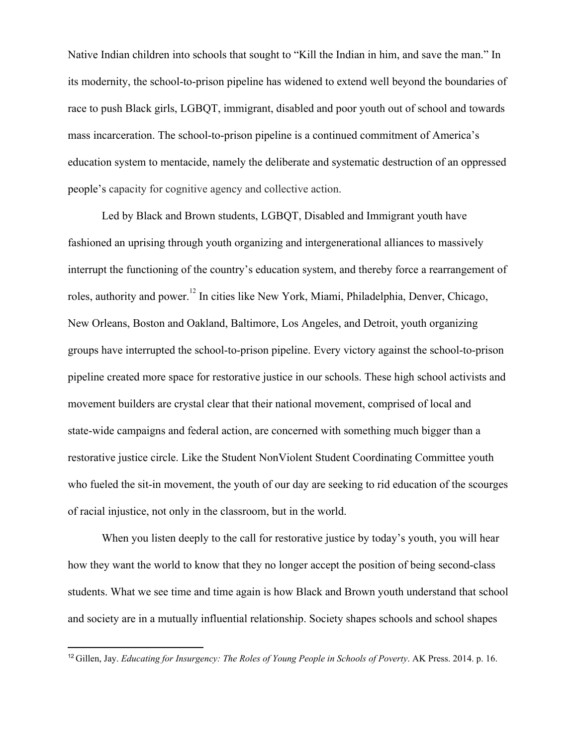Native Indian children into schools that sought to "Kill the Indian in him, and save the man." In its modernity, the school-to-prison pipeline has widened to extend well beyond the boundaries of race to push Black girls, LGBQT, immigrant, disabled and poor youth out of school and towards mass incarceration. The school-to-prison pipeline is a continued commitment of America's education system to mentacide, namely the deliberate and systematic destruction of an oppressed people's capacity for cognitive agency and collective action.

Led by Black and Brown students, LGBQT, Disabled and Immigrant youth have fashioned an uprising through youth organizing and intergenerational alliances to massively interrupt the functioning of the country's education system, and thereby force a rearrangement of roles, authority and power.<sup>12</sup> In cities like New York, Miami, Philadelphia, Denver, Chicago, New Orleans, Boston and Oakland, Baltimore, Los Angeles, and Detroit, youth organizing groups have interrupted the school-to-prison pipeline. Every victory against the school-to-prison pipeline created more space for restorative justice in our schools. These high school activists and movement builders are crystal clear that their national movement, comprised of local and state-wide campaigns and federal action, are concerned with something much bigger than a restorative justice circle. Like the Student NonViolent Student Coordinating Committee youth who fueled the sit-in movement, the youth of our day are seeking to rid education of the scourges of racial injustice, not only in the classroom, but in the world.

When you listen deeply to the call for restorative justice by today's youth, you will hear how they want the world to know that they no longer accept the position of being second-class students. What we see time and time again is how Black and Brown youth understand that school and society are in a mutually influential relationship. Society shapes schools and school shapes

<sup>12</sup> Gillen, Jay. *Educating for Insurgency: The Roles of Young People in Schools of Poverty*. AK Press. 2014. p. 16.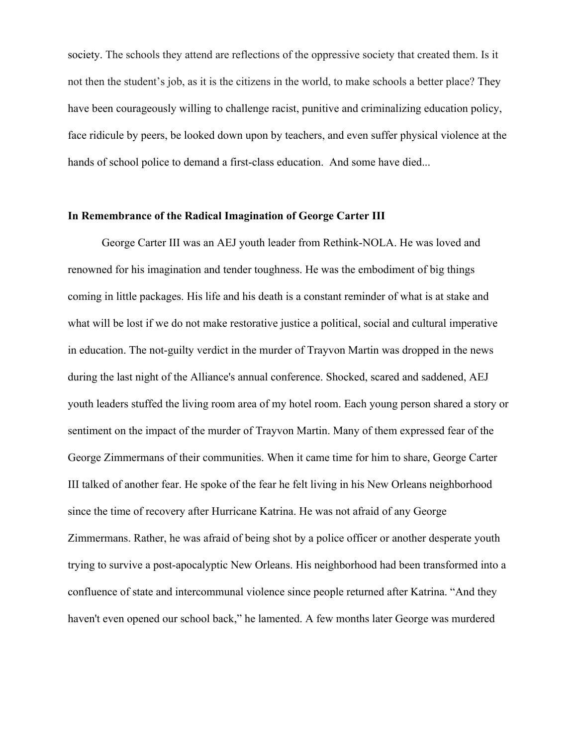society. The schools they attend are reflections of the oppressive society that created them. Is it not then the student's job, as it is the citizens in the world, to make schools a better place? They have been courageously willing to challenge racist, punitive and criminalizing education policy, face ridicule by peers, be looked down upon by teachers, and even suffer physical violence at the hands of school police to demand a first-class education. And some have died...

### **In Remembrance of the Radical Imagination of George Carter III**

George Carter III was an AEJ youth leader from R[ethink-N](http://www.therethinkers.org/)OLA. He was loved and renowned for his imagination and tender toughness. He was the embodiment of big things coming in little packages. His life and his death is a constant reminder of what is at stake and what will be lost if we do not make restorative justice a political, social and cultural imperative in education. The not-guilty verdict in the murder of Trayvon Martin was dropped in the news during the last night of the Alliance's annual conference. Shocked, scared and saddened, AEJ youth leaders stuffed the living room area of my hotel room. Each young person shared a story or sentiment on the impact of the murder of Trayvon Martin. Many of them expressed fear of the George Zimmermans of their communities. When it came time for him to share, George Carter III talked of another fear. He spoke of the fear he felt living in his New Orleans neighborhood since the time of recovery after Hurricane Katrina. He was not afraid of any George Zimmermans. Rather, he was afraid of being shot by a police officer or another desperate youth trying to survive a post-apocalyptic New Orleans. His neighborhood had been transformed into a confluence of state and intercommunal violence since people returned after Katrina. "And they haven't even opened our school back," he lamented. A few months later George was murdered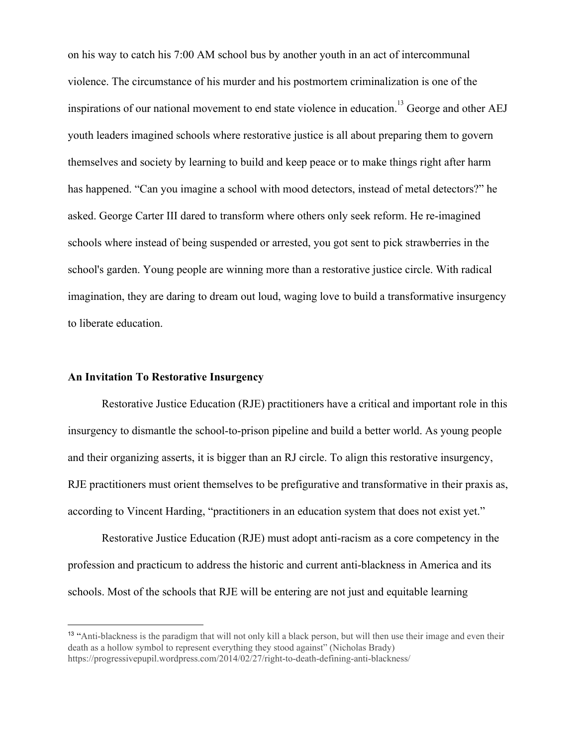on his way to catch his 7:00 AM school bus by another youth in an act of intercommunal violence. The circumstance of his murder and his postmortem [criminalization](http://www.nola.com/crime/index.ssf/2014/11/george_carter_murder_robbery.html) is one of the inspirations of our national movement to end state violence in education.<sup>13</sup> George and other AEJ youth leaders imagined schools where restorative justice is all about preparing them to govern themselves and society by learning to build and keep peace or to make things right after harm has happened. "Can you imagine a school with mood detectors, instead of metal detectors?" he asked. George Carter III dared to transform where others only seek reform. He re-imagined schools where instead of being suspended or arrested, you got sent to pick strawberries in the school's garden. Young people are winning more than a restorative justice circle. With radical imagination, they are daring to dream out loud, waging love to build a transformative insurgency to liberate education.

### **An Invitation To Restorative Insurgency**

Restorative Justice Education (RJE) practitioners have a critical and important role in this insurgency to dismantle the school-to-prison pipeline and build a better world. As young people and their organizing asserts, it is bigger than an RJ circle. To align this restorative insurgency, RJE practitioners must orient themselves to be prefigurative and transformative in their praxis as, according to Vincent Harding, "practitioners in an education system that does not exist yet."

Restorative Justice Education (RJE) must adopt anti-racism as a core competency in the profession and practicum to address the historic and current anti-blackness in America and its schools. Most of the schools that RJE will be entering are not just and equitable learning

<sup>&</sup>lt;sup>13</sup> "Anti-blackness is the paradigm that will not only kill a black person, but will then use their image and even their death as a hollow symbol to represent everything they stood against" (Nicholas Brady) https://progressivepupil.wordpress.com/2014/02/27/right-to-death-defining-anti-blackness/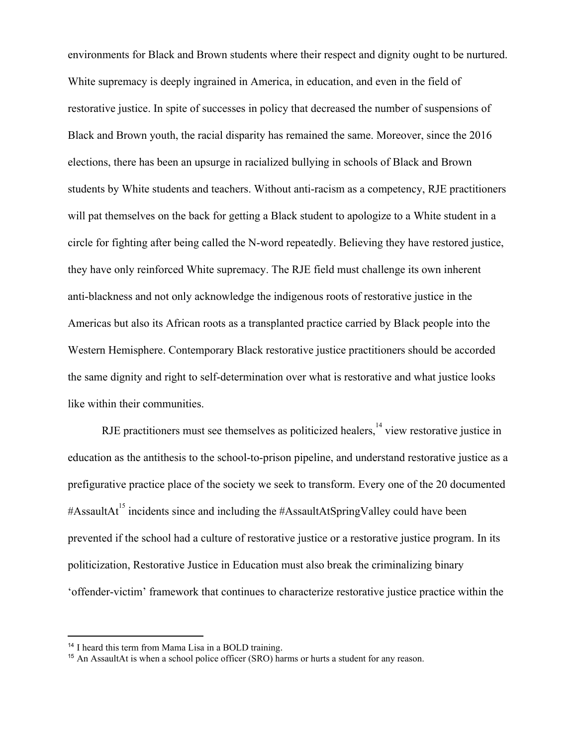environments for Black and Brown students where their respect and dignity ought to be nurtured. White supremacy is deeply ingrained in America, in education, and even in the field of restorative justice. In spite of successes in policy that decreased the number of suspensions of Black and Brown youth, the racial disparity has remained the same. Moreover, since the 2016 elections, there has been an upsurge in racialized bullying in schools of Black and Brown students by White students and teachers. Without anti-racism as a competency, RJE practitioners will pat themselves on the back for getting a Black student to apologize to a White student in a circle for fighting after being called the N-word repeatedly. Believing they have restored justice, they have only reinforced White supremacy. The RJE field must challenge its own inherent anti-blackness and not only acknowledge the indigenous roots of restorative justice in the Americas but also its African roots as a transplanted practice carried by Black people into the Western Hemisphere. Contemporary Black restorative justice practitioners should be accorded the same dignity and right to self-determination over what is restorative and what justice looks like within their communities.

RJE practitioners must see themselves as politicized healers,  $\frac{14}{14}$  view restorative justice in education as the antithesis to the school-to-prison pipeline, and understand restorative justice as a prefigurative practice place of the society we seek to transform. Every one of the 20 documented #AssaultAt<sup>15</sup> incidents since and including the #AssaultAtSpringValley could have been prevented if the school had a culture of restorative justice or a restorative justice program. In its politicization, Restorative Justice in Education must also break the criminalizing binary 'offender-victim' framework that continues to characterize restorative justice practice within the

<sup>14</sup> I heard this term from Mama Lisa in a BOLD training.

<sup>&</sup>lt;sup>15</sup> An AssaultAt is when a school police officer (SRO) harms or hurts a student for any reason.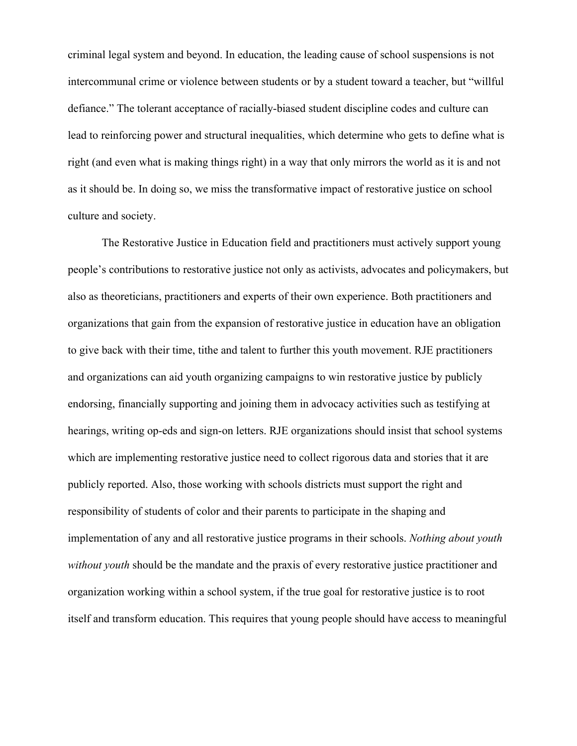criminal legal system and beyond. In education, the leading cause of school suspensions is not intercommunal crime or violence between students or by a student toward a teacher, but "willful defiance." The tolerant acceptance of racially-biased student discipline codes and culture can lead to reinforcing power and structural inequalities, which determine who gets to define what is right (and even what is making things right) in a way that only mirrors the world as it is and not as it should be. In doing so, we miss the transformative impact of restorative justice on school culture and society.

The Restorative Justice in Education field and practitioners must actively support young people's contributions to restorative justice not only as activists, advocates and policymakers, but also as theoreticians, practitioners and experts of their own experience. Both practitioners and organizations that gain from the expansion of restorative justice in education have an obligation to give back with their time, tithe and talent to further this youth movement. RJE practitioners and organizations can aid youth organizing campaigns to win restorative justice by publicly endorsing, financially supporting and joining them in advocacy activities such as testifying at hearings, writing op-eds and sign-on letters. RJE organizations should insist that school systems which are implementing restorative justice need to collect rigorous data and stories that it are publicly reported. Also, those working with schools districts must support the right and responsibility of students of color and their parents to participate in the shaping and implementation of any and all restorative justice programs in their schools. *Nothing about youth without youth* should be the mandate and the praxis of every restorative justice practitioner and organization working within a school system, if the true goal for restorative justice is to root itself and transform education. This requires that young people should have access to meaningful